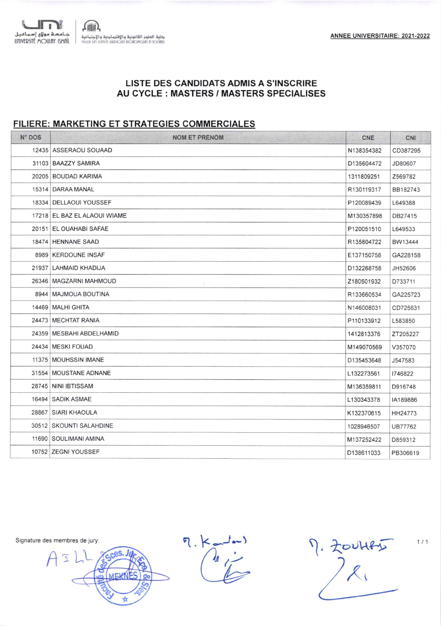## LISTE DES CANDIDATS ADMIS A S'INSCRIRE AU CYCLE : MASTERS / MASTERS SPECIALISES

## FILIERE: MARKETING ET STRATEGIES COMMERCIALES

| N° DOS | <b>NOM ET PRENOM</b>         | <b>CNE</b> | CNI      |
|--------|------------------------------|------------|----------|
|        | 12435 ASSERAOU SOUAAD        | N138354382 | CD387295 |
|        | 31103 BAAZZY SAMIRA          | D135604472 | JD80607  |
|        | 20205 BOUDAD KARIMA          | 1311809251 | Z569782  |
|        | 15314 DARAA MANAL            | R130119317 | BB182743 |
|        | 18334   DELLAOUI YOUSSEF     | P120089439 | L649388  |
|        | 17218 EL BAZ EL ALAOUI WIAME | M130357898 | DB27415  |
| 20151  | EL OUAHABI SAFAE             | P120051510 | L649533  |
|        | 18474 HENNANE SAAD           | R135804722 | BW13444  |
|        | 8989 KERDOUNE INSAF          | E137150758 | GA228158 |
| 21937  | <b>LAHMAID KHADIJA</b>       | D132268758 | JH52606  |
|        | 26346   MAGZARNI MAHMOUD     | Z180501932 | D733711  |
|        | 8944   MAJMOUA BOUTINA       | R133660534 | GA225723 |
|        | 14469   MALHI GHITA          | N146008031 | CD725631 |
|        | 24473 MECHTAT RANIA          | P110133912 | L583850  |
|        | 24359 MESBAHI ABDELHAMID     | 1412813376 | ZT205227 |
|        | 24434   MESKI FOUAD          | M149070569 | V357070  |
|        | 11375   MOUHSSIN IMANE       | D135453648 | J547583  |
|        | 31554   MOUSTANE ADNANE      | L132273561 | 1746822  |
|        | 28745 NINI IBTISSAM          | M136359811 | D916748  |
|        | 16494   SADIK ASMAE          | L130343378 | IA189886 |
| 28867  | <b>SIARI KHAOULA</b>         | K132370615 | HH24773  |
|        | 30512 SKOUNTI SALAHDINE      | 1028946507 | UB77762  |
| 11690  | SOULIMANI AMINA              | M137252422 | D859312  |
|        | 10752 ZEGNI YOUSSEF          | D138611033 | PB306619 |

Signature des membres de jury:

F 7 ₩

 $9.5$ 

7. ZOUHAS

 $1/1$